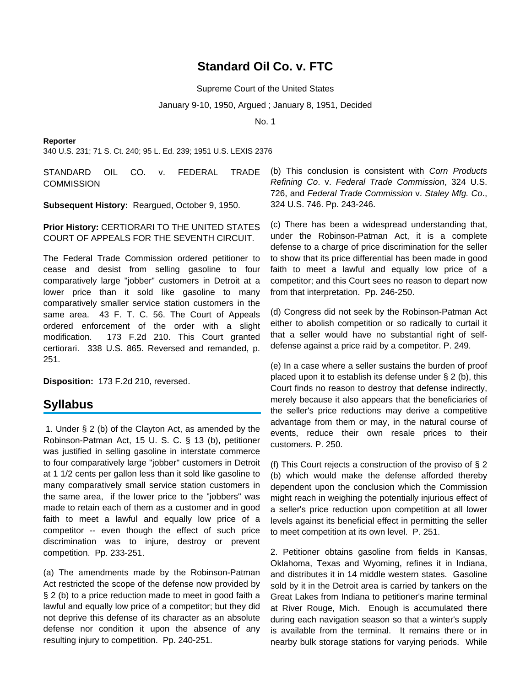# **Standard Oil Co. v. FTC**

Supreme Court of the United States

January 9-10, 1950, Argued ; January 8, 1951, Decided

No. 1

### **Reporter**

340 U.S. 231; 71 S. Ct. 240; 95 L. Ed. 239; 1951 U.S. LEXIS 2376

STANDARD OIL CO. v. FEDERAL TRADE **COMMISSION** 

**Subsequent History:** Reargued, October 9, 1950.

**Prior History:** CERTIORARI TO THE UNITED STATES COURT OF APPEALS FOR THE SEVENTH CIRCUIT.

The Federal Trade Commission ordered petitioner to cease and desist from selling gasoline to four comparatively large "jobber" customers in Detroit at a lower price than it sold like gasoline to many comparatively smaller service station customers in the same area. 43 F. T. C. 56. The Court of Appeals ordered enforcement of the order with a slight modification. 173 F.2d 210. This Court granted certiorari. 338 U.S. 865. Reversed and remanded, p. 251.

**Disposition:** 173 F.2d 210, reversed.

# **Syllabus**

1. Under § 2 (b) of the Clayton Act, as amended by the Robinson-Patman Act, 15 U. S. C. § 13 (b), petitioner was justified in selling gasoline in interstate commerce to four comparatively large "jobber" customers in Detroit at 1 1/2 cents per gallon less than it sold like gasoline to many comparatively small service station customers in the same area, if the lower price to the "jobbers" was made to retain each of them as a customer and in good faith to meet a lawful and equally low price of a competitor -- even though the effect of such price discrimination was to injure, destroy or prevent competition. Pp. 233-251.

(a) The amendments made by the Robinson-Patman Act restricted the scope of the defense now provided by § 2 (b) to a price reduction made to meet in good faith a lawful and equally low price of a competitor; but they did not deprive this defense of its character as an absolute defense nor condition it upon the absence of any resulting injury to competition. Pp. 240-251.

(b) This conclusion is consistent with Corn Products Refining Co. v. Federal Trade Commission, 324 U.S. 726, and Federal Trade Commission v. Staley Mfg. Co., 324 U.S. 746. Pp. 243-246.

(c) There has been a widespread understanding that, under the Robinson-Patman Act, it is a complete defense to a charge of price discrimination for the seller to show that its price differential has been made in good faith to meet a lawful and equally low price of a competitor; and this Court sees no reason to depart now from that interpretation. Pp. 246-250.

(d) Congress did not seek by the Robinson-Patman Act either to abolish competition or so radically to curtail it that a seller would have no substantial right of selfdefense against a price raid by a competitor. P. 249.

(e) In a case where a seller sustains the burden of proof placed upon it to establish its defense under § 2 (b), this Court finds no reason to destroy that defense indirectly, merely because it also appears that the beneficiaries of the seller's price reductions may derive a competitive advantage from them or may, in the natural course of events, reduce their own resale prices to their customers. P. 250.

(f) This Court rejects a construction of the proviso of § 2 (b) which would make the defense afforded thereby dependent upon the conclusion which the Commission might reach in weighing the potentially injurious effect of a seller's price reduction upon competition at all lower levels against its beneficial effect in permitting the seller to meet competition at its own level. P. 251.

2. Petitioner obtains gasoline from fields in Kansas, Oklahoma, Texas and Wyoming, refines it in Indiana, and distributes it in 14 middle western states. Gasoline sold by it in the Detroit area is carried by tankers on the Great Lakes from Indiana to petitioner's marine terminal at River Rouge, Mich. Enough is accumulated there during each navigation season so that a winter's supply is available from the terminal. It remains there or in nearby bulk storage stations for varying periods. While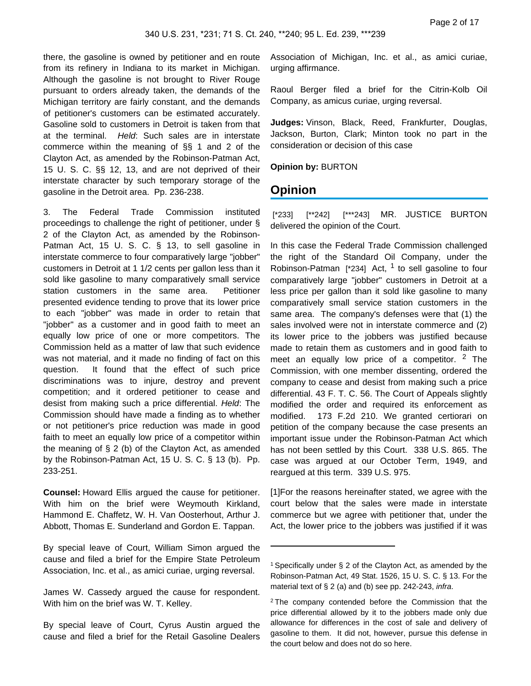there, the gasoline is owned by petitioner and en route from its refinery in Indiana to its market in Michigan. Although the gasoline is not brought to River Rouge pursuant to orders already taken, the demands of the Michigan territory are fairly constant, and the demands of petitioner's customers can be estimated accurately. Gasoline sold to customers in Detroit is taken from that at the terminal. Held: Such sales are in interstate commerce within the meaning of §§ 1 and 2 of the Clayton Act, as amended by the Robinson-Patman Act, 15 U. S. C. §§ 12, 13, and are not deprived of their interstate character by such temporary storage of the gasoline in the Detroit area. Pp. 236-238.

3. The Federal Trade Commission instituted proceedings to challenge the right of petitioner, under § 2 of the Clayton Act, as amended by the Robinson-Patman Act, 15 U. S. C. § 13, to sell gasoline in interstate commerce to four comparatively large "jobber" customers in Detroit at 1 1/2 cents per gallon less than it sold like gasoline to many comparatively small service station customers in the same area. Petitioner presented evidence tending to prove that its lower price to each "jobber" was made in order to retain that "jobber" as a customer and in good faith to meet an equally low price of one or more competitors. The Commission held as a matter of law that such evidence was not material, and it made no finding of fact on this question. It found that the effect of such price discriminations was to injure, destroy and prevent competition; and it ordered petitioner to cease and desist from making such a price differential. Held: The Commission should have made a finding as to whether or not petitioner's price reduction was made in good faith to meet an equally low price of a competitor within the meaning of § 2 (b) of the Clayton Act, as amended by the Robinson-Patman Act, 15 U. S. C. § 13 (b). Pp. 233-251.

**Counsel:** Howard Ellis argued the cause for petitioner. With him on the brief were Weymouth Kirkland, Hammond E. Chaffetz, W. H. Van Oosterhout, Arthur J. Abbott, Thomas E. Sunderland and Gordon E. Tappan.

By special leave of Court, William Simon argued the cause and filed a brief for the Empire State Petroleum Association, Inc. et al., as amici curiae, urging reversal.

James W. Cassedy argued the cause for respondent. With him on the brief was W. T. Kelley.

By special leave of Court, Cyrus Austin argued the cause and filed a brief for the Retail Gasoline Dealers Association of Michigan, Inc. et al., as amici curiae, urging affirmance.

Raoul Berger filed a brief for the Citrin-Kolb Oil Company, as amicus curiae, urging reversal.

**Judges:** Vinson, Black, Reed, Frankfurter, Douglas, Jackson, Burton, Clark; Minton took no part in the consideration or decision of this case

**Opinion by:** BURTON

# **Opinion**

[\*233] [\*\*242] [\*\*\*243] MR. JUSTICE BURTON delivered the opinion of the Court.

In this case the Federal Trade Commission challenged the right of the Standard Oil Company, under the Robinson-Patman [\*234] Act, <sup>1</sup> to sell gasoline to four comparatively large "jobber" customers in Detroit at a less price per gallon than it sold like gasoline to many comparatively small service station customers in the same area. The company's defenses were that (1) the sales involved were not in interstate commerce and (2) its lower price to the jobbers was justified because made to retain them as customers and in good faith to meet an equally low price of a competitor.  $2$  The Commission, with one member dissenting, ordered the company to cease and desist from making such a price differential. 43 F. T. C. 56. The Court of Appeals slightly modified the order and required its enforcement as modified. 173 F.2d 210. We granted certiorari on petition of the company because the case presents an important issue under the Robinson-Patman Act which has not been settled by this Court. 338 U.S. 865. The case was argued at our October Term, 1949, and reargued at this term. 339 U.S. 975.

[1]For the reasons hereinafter stated, we agree with the court below that the sales were made in interstate commerce but we agree with petitioner that, under the Act, the lower price to the jobbers was justified if it was

<sup>1</sup> Specifically under § 2 of the Clayton Act, as amended by the Robinson-Patman Act, 49 Stat. 1526, 15 U. S. C. § 13. For the material text of § 2 (a) and (b) see pp. 242-243, infra.

<sup>2</sup> The company contended before the Commission that the price differential allowed by it to the jobbers made only due allowance for differences in the cost of sale and delivery of gasoline to them. It did not, however, pursue this defense in the court below and does not do so here.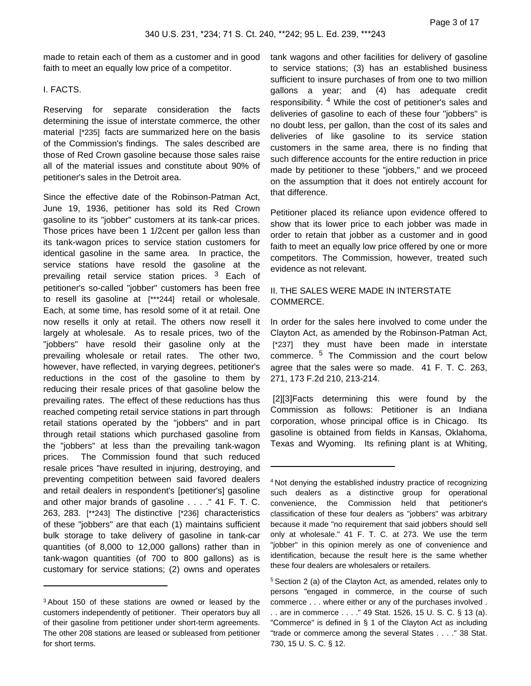made to retain each of them as a customer and in good faith to meet an equally low price of a competitor.

## I. FACTS.

Reserving for separate consideration the facts determining the issue of interstate commerce, the other material [\*235] facts are summarized here on the basis of the Commission's findings. The sales described are those of Red Crown gasoline because those sales raise all of the material issues and constitute about 90% of petitioner's sales in the Detroit area.

Since the effective date of the Robinson-Patman Act, June 19, 1936, petitioner has sold its Red Crown gasoline to its "jobber" customers at its tank-car prices. Those prices have been 1 1/2cent per gallon less than its tank-wagon prices to service station customers for identical gasoline in the same area. In practice, the service stations have resold the gasoline at the prevailing retail service station prices.<sup>3</sup> Each of petitioner's so-called "jobber" customers has been free to resell its gasoline at [\*\*\*244] retail or wholesale. Each, at some time, has resold some of it at retail. One now resells it only at retail. The others now resell it largely at wholesale. As to resale prices, two of the "jobbers" have resold their gasoline only at the prevailing wholesale or retail rates. The other two, however, have reflected, in varying degrees, petitioner's reductions in the cost of the gasoline to them by reducing their resale prices of that gasoline below the prevailing rates. The effect of these reductions has thus reached competing retail service stations in part through retail stations operated by the "jobbers" and in part through retail stations which purchased gasoline from the "jobbers" at less than the prevailing tank-wagon prices. The Commission found that such reduced resale prices "have resulted in injuring, destroying, and preventing competition between said favored dealers and retail dealers in respondent's [petitioner's] gasoline and other major brands of gasoline . . . ." 41 F. T. C. 263, 283. [\*\*243] The distinctive [\*236] characteristics of these "jobbers" are that each (1) maintains sufficient bulk storage to take delivery of gasoline in tank-car quantities (of 8,000 to 12,000 gallons) rather than in tank-wagon quantities (of 700 to 800 gallons) as is customary for service stations; (2) owns and operates

tank wagons and other facilities for delivery of gasoline to service stations; (3) has an established business sufficient to insure purchases of from one to two million gallons a year; and (4) has adequate credit responsibility. <sup>4</sup> While the cost of petitioner's sales and deliveries of gasoline to each of these four "jobbers" is no doubt less, per gallon, than the cost of its sales and deliveries of like gasoline to its service station customers in the same area, there is no finding that such difference accounts for the entire reduction in price made by petitioner to these "jobbers," and we proceed on the assumption that it does not entirely account for that difference.

Petitioner placed its reliance upon evidence offered to show that its lower price to each jobber was made in order to retain that jobber as a customer and in good faith to meet an equally low price offered by one or more competitors. The Commission, however, treated such evidence as not relevant.

## II. THE SALES WERE MADE IN INTERSTATE COMMERCE.

In order for the sales here involved to come under the Clayton Act, as amended by the Robinson-Patman Act, [\*237] they must have been made in interstate commerce. <sup>5</sup> The Commission and the court below agree that the sales were so made. 41 F. T. C. 263, 271, 173 F.2d 210, 213-214.

[2][3]Facts determining this were found by the Commission as follows: Petitioner is an Indiana corporation, whose principal office is in Chicago. Its gasoline is obtained from fields in Kansas, Oklahoma, Texas and Wyoming. Its refining plant is at Whiting,

<sup>3</sup> About 150 of these stations are owned or leased by the customers independently of petitioner. Their operators buy all of their gasoline from petitioner under short-term agreements. The other 208 stations are leased or subleased from petitioner for short terms.

<sup>4</sup> Not denying the established industry practice of recognizing such dealers as a distinctive group for operational convenience, the Commission held that petitioner's classification of these four dealers as "jobbers" was arbitrary because it made "no requirement that said jobbers should sell only at wholesale." 41 F. T. C. at 273. We use the term "jobber" in this opinion merely as one of convenience and identification, because the result here is the same whether these four dealers are wholesalers or retailers.

<sup>5</sup> Section 2 (a) of the Clayton Act, as amended, relates only to persons "engaged in commerce, in the course of such commerce . . . where either or any of the purchases involved . . . are in commerce . . . ." 49 Stat. 1526, 15 U. S. C. § 13 (a). "Commerce" is defined in § 1 of the Clayton Act as including "trade or commerce among the several States . . . ." 38 Stat. 730, 15 U. S. C. § 12.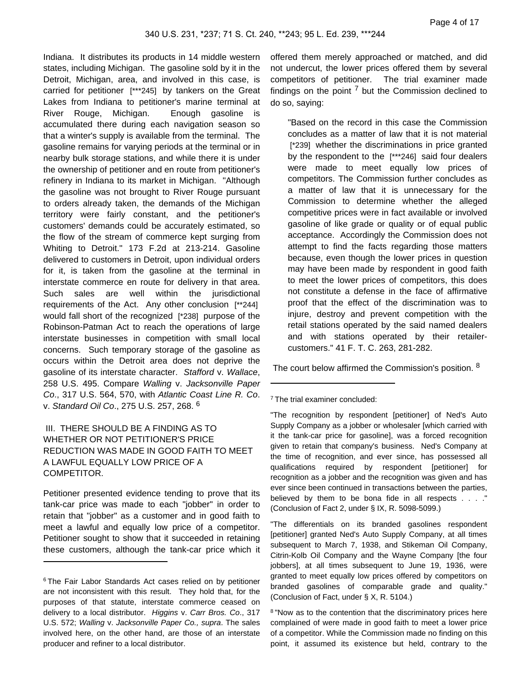Indiana. It distributes its products in 14 middle western states, including Michigan. The gasoline sold by it in the Detroit, Michigan, area, and involved in this case, is carried for petitioner [\*\*\*245] by tankers on the Great Lakes from Indiana to petitioner's marine terminal at River Rouge, Michigan. Enough gasoline is accumulated there during each navigation season so that a winter's supply is available from the terminal. The gasoline remains for varying periods at the terminal or in nearby bulk storage stations, and while there it is under the ownership of petitioner and en route from petitioner's refinery in Indiana to its market in Michigan. "Although the gasoline was not brought to River Rouge pursuant to orders already taken, the demands of the Michigan territory were fairly constant, and the petitioner's customers' demands could be accurately estimated, so the flow of the stream of commerce kept surging from Whiting to Detroit." 173 F.2d at 213-214. Gasoline delivered to customers in Detroit, upon individual orders for it, is taken from the gasoline at the terminal in interstate commerce en route for delivery in that area. Such sales are well within the jurisdictional requirements of the Act. Any other conclusion [\*\*244] would fall short of the recognized [\*238] purpose of the Robinson-Patman Act to reach the operations of large interstate businesses in competition with small local concerns. Such temporary storage of the gasoline as occurs within the Detroit area does not deprive the gasoline of its interstate character. Stafford v. Wallace, 258 U.S. 495. Compare Walling v. Jacksonville Paper Co., 317 U.S. 564, 570, with Atlantic Coast Line R. Co. v. Standard Oil Co., 275 U.S. 257, 268. <sup>6</sup>

# III. THERE SHOULD BE A FINDING AS TO WHETHER OR NOT PETITIONER'S PRICE REDUCTION WAS MADE IN GOOD FAITH TO MEET A LAWFUL EQUALLY LOW PRICE OF A COMPETITOR.

Petitioner presented evidence tending to prove that its tank-car price was made to each "jobber" in order to retain that "jobber" as a customer and in good faith to meet a lawful and equally low price of a competitor. Petitioner sought to show that it succeeded in retaining these customers, although the tank-car price which it offered them merely approached or matched, and did not undercut, the lower prices offered them by several competitors of petitioner. The trial examiner made findings on the point  $<sup>7</sup>$  but the Commission declined to</sup> do so, saying:

"Based on the record in this case the Commission concludes as a matter of law that it is not material [\*239] whether the discriminations in price granted by the respondent to the [\*\*\*246] said four dealers were made to meet equally low prices of competitors. The Commission further concludes as a matter of law that it is unnecessary for the Commission to determine whether the alleged competitive prices were in fact available or involved gasoline of like grade or quality or of equal public acceptance. Accordingly the Commission does not attempt to find the facts regarding those matters because, even though the lower prices in question may have been made by respondent in good faith to meet the lower prices of competitors, this does not constitute a defense in the face of affirmative proof that the effect of the discrimination was to injure, destroy and prevent competition with the retail stations operated by the said named dealers and with stations operated by their retailercustomers." 41 F. T. C. 263, 281-282.

The court below affirmed the Commission's position. <sup>8</sup>

<sup>7</sup> The trial examiner concluded:

"The recognition by respondent [petitioner] of Ned's Auto Supply Company as a jobber or wholesaler [which carried with it the tank-car price for gasoline], was a forced recognition given to retain that company's business. Ned's Company at the time of recognition, and ever since, has possessed all qualifications required by respondent [petitioner] for recognition as a jobber and the recognition was given and has ever since been continued in transactions between the parties, believed by them to be bona fide in all respects . . . ." (Conclusion of Fact 2, under § IX, R. 5098-5099.)

"The differentials on its branded gasolines respondent [petitioner] granted Ned's Auto Supply Company, at all times subsequent to March 7, 1938, and Stikeman Oil Company, Citrin-Kolb Oil Company and the Wayne Company [the four jobbers], at all times subsequent to June 19, 1936, were granted to meet equally low prices offered by competitors on branded gasolines of comparable grade and quality." (Conclusion of Fact, under § X, R. 5104.)

<sup>8</sup> "Now as to the contention that the discriminatory prices here complained of were made in good faith to meet a lower price of a competitor. While the Commission made no finding on this point, it assumed its existence but held, contrary to the

<sup>6</sup> The Fair Labor Standards Act cases relied on by petitioner are not inconsistent with this result. They hold that, for the purposes of that statute, interstate commerce ceased on delivery to a local distributor. Higgins v. Carr Bros. Co., 317 U.S. 572; Walling v. Jacksonville Paper Co., supra. The sales involved here, on the other hand, are those of an interstate producer and refiner to a local distributor.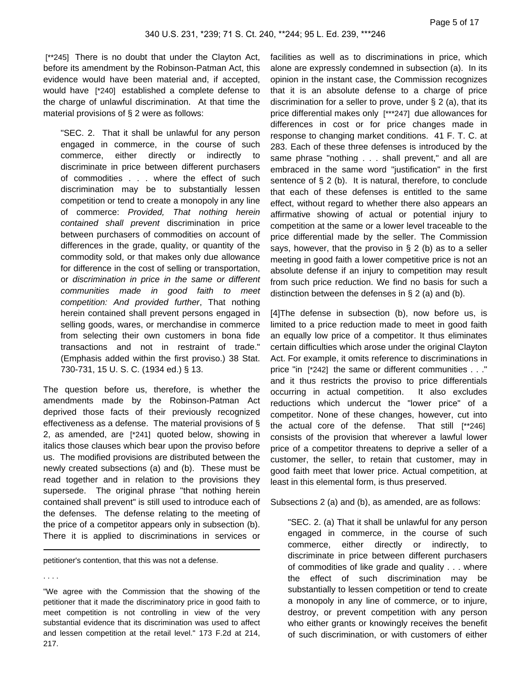[\*\*245] There is no doubt that under the Clayton Act, before its amendment by the Robinson-Patman Act, this evidence would have been material and, if accepted, would have [\*240] established a complete defense to the charge of unlawful discrimination. At that time the material provisions of § 2 were as follows:

"SEC. 2. That it shall be unlawful for any person engaged in commerce, in the course of such commerce, either directly or indirectly to discriminate in price between different purchasers of commodities . . . where the effect of such discrimination may be to substantially lessen competition or tend to create a monopoly in any line of commerce: Provided, That nothing herein contained shall prevent discrimination in price between purchasers of commodities on account of differences in the grade, quality, or quantity of the commodity sold, or that makes only due allowance for difference in the cost of selling or transportation, or discrimination in price in the same or different communities made in good faith to meet competition: And provided further, That nothing herein contained shall prevent persons engaged in selling goods, wares, or merchandise in commerce from selecting their own customers in bona fide transactions and not in restraint of trade." (Emphasis added within the first proviso.) 38 Stat. 730-731, 15 U. S. C. (1934 ed.) § 13.

The question before us, therefore, is whether the amendments made by the Robinson-Patman Act deprived those facts of their previously recognized effectiveness as a defense. The material provisions of § 2, as amended, are [\*241] quoted below, showing in italics those clauses which bear upon the proviso before us. The modified provisions are distributed between the newly created subsections (a) and (b). These must be read together and in relation to the provisions they supersede. The original phrase "that nothing herein contained shall prevent" is still used to introduce each of the defenses. The defense relating to the meeting of the price of a competitor appears only in subsection (b). There it is applied to discriminations in services or

petitioner's contention, that this was not a defense.

. . . .

"We agree with the Commission that the showing of the petitioner that it made the discriminatory price in good faith to meet competition is not controlling in view of the very substantial evidence that its discrimination was used to affect and lessen competition at the retail level." 173 F.2d at 214, 217.

facilities as well as to discriminations in price, which alone are expressly condemned in subsection (a). In its opinion in the instant case, the Commission recognizes that it is an absolute defense to a charge of price discrimination for a seller to prove, under  $\S 2$  (a), that its price differential makes only [\*\*\*247] due allowances for differences in cost or for price changes made in response to changing market conditions. 41 F. T. C. at 283. Each of these three defenses is introduced by the same phrase "nothing . . . shall prevent," and all are embraced in the same word "justification" in the first sentence of § 2 (b). It is natural, therefore, to conclude that each of these defenses is entitled to the same effect, without regard to whether there also appears an affirmative showing of actual or potential injury to competition at the same or a lower level traceable to the price differential made by the seller. The Commission says, however, that the proviso in  $\S$  2 (b) as to a seller meeting in good faith a lower competitive price is not an absolute defense if an injury to competition may result from such price reduction. We find no basis for such a distinction between the defenses in  $\S 2$  (a) and (b).

[4]The defense in subsection (b), now before us, is limited to a price reduction made to meet in good faith an equally low price of a competitor. It thus eliminates certain difficulties which arose under the original Clayton Act. For example, it omits reference to discriminations in price "in [\*242] the same or different communities . . ." and it thus restricts the proviso to price differentials occurring in actual competition. It also excludes reductions which undercut the "lower price" of a competitor. None of these changes, however, cut into the actual core of the defense. That still [\*\*246] consists of the provision that wherever a lawful lower price of a competitor threatens to deprive a seller of a customer, the seller, to retain that customer, may in good faith meet that lower price. Actual competition, at least in this elemental form, is thus preserved.

Subsections 2 (a) and (b), as amended, are as follows:

"SEC. 2. (a) That it shall be unlawful for any person engaged in commerce, in the course of such commerce, either directly or indirectly, to discriminate in price between different purchasers of commodities of like grade and quality . . . where the effect of such discrimination may be substantially to lessen competition or tend to create a monopoly in any line of commerce, or to injure, destroy, or prevent competition with any person who either grants or knowingly receives the benefit of such discrimination, or with customers of either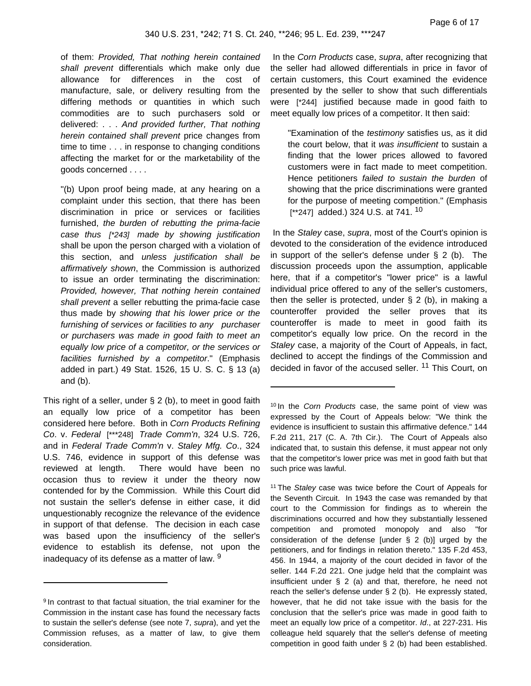of them: Provided, That nothing herein contained shall prevent differentials which make only due allowance for differences in the cost of manufacture, sale, or delivery resulting from the differing methods or quantities in which such commodities are to such purchasers sold or delivered: . . . And provided further, That nothing herein contained shall prevent price changes from time to time . . . in response to changing conditions affecting the market for or the marketability of the goods concerned . . . .

"(b) Upon proof being made, at any hearing on a complaint under this section, that there has been discrimination in price or services or facilities furnished, the burden of rebutting the prima-facie case thus [\*243] made by showing justification shall be upon the person charged with a violation of this section, and unless justification shall be affirmatively shown, the Commission is authorized to issue an order terminating the discrimination: Provided, however, That nothing herein contained shall prevent a seller rebutting the prima-facie case thus made by showing that his lower price or the furnishing of services or facilities to any purchaser or purchasers was made in good faith to meet an equally low price of a competitor, or the services or facilities furnished by a competitor." (Emphasis added in part.) 49 Stat. 1526, 15 U. S. C. § 13 (a) and (b).

This right of a seller, under  $\S 2$  (b), to meet in good faith an equally low price of a competitor has been considered here before. Both in Corn Products Refining Co. v. Federal [\*\*\*248] Trade Comm'n, 324 U.S. 726, and in Federal Trade Comm'n v. Staley Mfg. Co., 324 U.S. 746, evidence in support of this defense was reviewed at length. There would have been no occasion thus to review it under the theory now contended for by the Commission. While this Court did not sustain the seller's defense in either case, it did unquestionably recognize the relevance of the evidence in support of that defense. The decision in each case was based upon the insufficiency of the seller's evidence to establish its defense, not upon the inadequacy of its defense as a matter of law. <sup>9</sup>

In the Corn Products case, supra, after recognizing that the seller had allowed differentials in price in favor of certain customers, this Court examined the evidence presented by the seller to show that such differentials were [\*244] justified because made in good faith to meet equally low prices of a competitor. It then said:

"Examination of the testimony satisfies us, as it did the court below, that it was insufficient to sustain a finding that the lower prices allowed to favored customers were in fact made to meet competition. Hence petitioners failed to sustain the burden of showing that the price discriminations were granted for the purpose of meeting competition." (Emphasis [\*\*247] added.) 324 U.S. at 741. <sup>10</sup>

In the Staley case, supra, most of the Court's opinion is devoted to the consideration of the evidence introduced in support of the seller's defense under  $\S 2$  (b). The discussion proceeds upon the assumption, applicable here, that if a competitor's "lower price" is a lawful individual price offered to any of the seller's customers, then the seller is protected, under § 2 (b), in making a counteroffer provided the seller proves that its counteroffer is made to meet in good faith its competitor's equally low price. On the record in the Staley case, a majority of the Court of Appeals, in fact, declined to accept the findings of the Commission and decided in favor of the accused seller. <sup>11</sup> This Court, on

<sup>&</sup>lt;sup>9</sup> In contrast to that factual situation, the trial examiner for the Commission in the instant case has found the necessary facts to sustain the seller's defense (see note 7, supra), and yet the Commission refuses, as a matter of law, to give them consideration.

<sup>&</sup>lt;sup>10</sup> In the Corn Products case, the same point of view was expressed by the Court of Appeals below: "We think the evidence is insufficient to sustain this affirmative defence." 144 F.2d 211, 217 (C. A. 7th Cir.). The Court of Appeals also indicated that, to sustain this defense, it must appear not only that the competitor's lower price was met in good faith but that such price was lawful.

<sup>&</sup>lt;sup>11</sup> The Staley case was twice before the Court of Appeals for the Seventh Circuit. In 1943 the case was remanded by that court to the Commission for findings as to wherein the discriminations occurred and how they substantially lessened competition and promoted monopoly and also "for consideration of the defense [under  $\S$  2 (b)] urged by the petitioners, and for findings in relation thereto." 135 F.2d 453, 456. In 1944, a majority of the court decided in favor of the seller. 144 F.2d 221. One judge held that the complaint was insufficient under § 2 (a) and that, therefore, he need not reach the seller's defense under § 2 (b). He expressly stated, however, that he did not take issue with the basis for the conclusion that the seller's price was made in good faith to meet an equally low price of a competitor. Id., at 227-231. His colleague held squarely that the seller's defense of meeting competition in good faith under § 2 (b) had been established.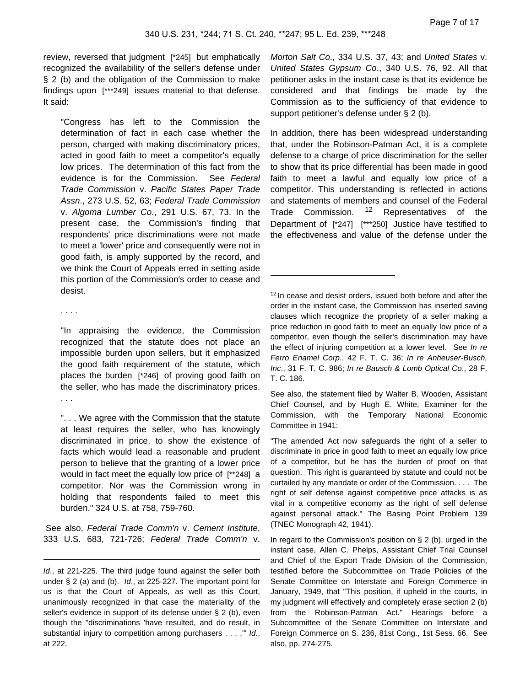review, reversed that judgment [\*245] but emphatically recognized the availability of the seller's defense under § 2 (b) and the obligation of the Commission to make findings upon [\*\*\*249] issues material to that defense. It said:

"Congress has left to the Commission the determination of fact in each case whether the person, charged with making discriminatory prices, acted in good faith to meet a competitor's equally low prices. The determination of this fact from the evidence is for the Commission. See Federal Trade Commission v. Pacific States Paper Trade Assn., 273 U.S. 52, 63; Federal Trade Commission v. Algoma Lumber Co., 291 U.S. 67, 73. In the present case, the Commission's finding that respondents' price discriminations were not made to meet a 'lower' price and consequently were not in good faith, is amply supported by the record, and we think the Court of Appeals erred in setting aside this portion of the Commission's order to cease and desist.

. . . .

"In appraising the evidence, the Commission recognized that the statute does not place an impossible burden upon sellers, but it emphasized the good faith requirement of the statute, which places the burden [\*246] of proving good faith on the seller, who has made the discriminatory prices. . . .

". . . We agree with the Commission that the statute at least requires the seller, who has knowingly discriminated in price, to show the existence of facts which would lead a reasonable and prudent person to believe that the granting of a lower price would in fact meet the equally low price of [\*\*248] a competitor. Nor was the Commission wrong in holding that respondents failed to meet this burden." 324 U.S. at 758, 759-760.

See also, Federal Trade Comm'n v. Cement Institute, 333 U.S. 683, 721-726; Federal Trade Comm'n v.

Morton Salt Co., 334 U.S. 37, 43; and United States v. United States Gypsum Co., 340 U.S. 76, 92. All that petitioner asks in the instant case is that its evidence be considered and that findings be made by the Commission as to the sufficiency of that evidence to support petitioner's defense under § 2 (b).

In addition, there has been widespread understanding that, under the Robinson-Patman Act, it is a complete defense to a charge of price discrimination for the seller to show that its price differential has been made in good faith to meet a lawful and equally low price of a competitor. This understanding is reflected in actions and statements of members and counsel of the Federal Trade Commission. <sup>12</sup> Representatives of the Department of [\*247] [\*\*\*250] Justice have testified to the effectiveness and value of the defense under the

See also, the statement filed by Walter B. Wooden, Assistant Chief Counsel, and by Hugh E. White, Examiner for the Commission, with the Temporary National Economic Committee in 1941:

"The amended Act now safeguards the right of a seller to discriminate in price in good faith to meet an equally low price of a competitor, but he has the burden of proof on that question. This right is guaranteed by statute and could not be curtailed by any mandate or order of the Commission. . . . The right of self defense against competitive price attacks is as vital in a competitive economy as the right of self defense against personal attack." The Basing Point Problem 139 (TNEC Monograph 42, 1941).

In regard to the Commission's position on  $\S 2$  (b), urged in the instant case, Allen C. Phelps, Assistant Chief Trial Counsel and Chief of the Export Trade Division of the Commission, testified before the Subcommittee on Trade Policies of the Senate Committee on Interstate and Foreign Commerce in January, 1949, that "This position, if upheld in the courts, in my judgment will effectively and completely erase section 2 (b) from the Robinson-Patman Act." Hearings before a Subcommittee of the Senate Committee on Interstate and Foreign Commerce on S. 236, 81st Cong., 1st Sess. 66. See also, pp. 274-275.

Id., at 221-225. The third judge found against the seller both under § 2 (a) and (b). Id., at 225-227. The important point for us is that the Court of Appeals, as well as this Court, unanimously recognized in that case the materiality of the seller's evidence in support of its defense under § 2 (b), even though the "discriminations 'have resulted, and do result, in substantial injury to competition among purchasers . . . .'" Id., at 222.

<sup>&</sup>lt;sup>12</sup> In cease and desist orders, issued both before and after the order in the instant case, the Commission has inserted saving clauses which recognize the propriety of a seller making a price reduction in good faith to meet an equally low price of a competitor, even though the seller's discrimination may have the effect of injuring competition at a lower level. See In re Ferro Enamel Corp., 42 F. T. C. 36; In re Anheuser-Busch, Inc., 31 F. T. C. 986; In re Bausch & Lomb Optical Co., 28 F. T. C. 186.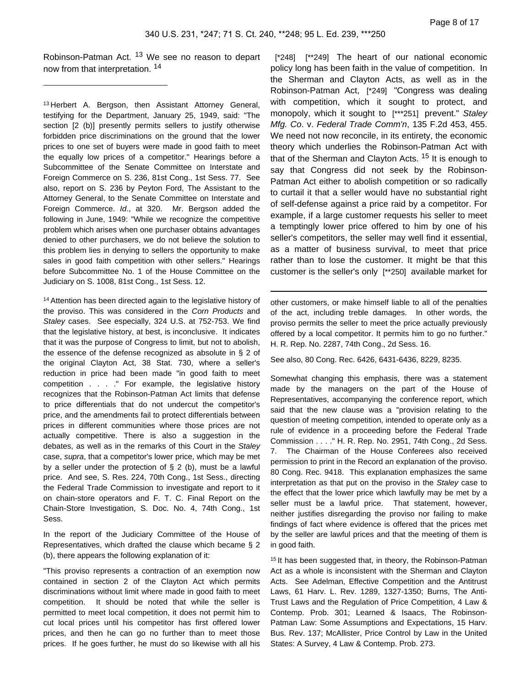Robinson-Patman Act. <sup>13</sup> We see no reason to depart now from that interpretation. <sup>14</sup>

13 Herbert A. Bergson, then Assistant Attorney General, testifying for the Department, January 25, 1949, said: "The section [2 (b)] presently permits sellers to justify otherwise forbidden price discriminations on the ground that the lower prices to one set of buyers were made in good faith to meet the equally low prices of a competitor." Hearings before a Subcommittee of the Senate Committee on Interstate and Foreign Commerce on S. 236, 81st Cong., 1st Sess. 77. See also, report on S. 236 by Peyton Ford, The Assistant to the Attorney General, to the Senate Committee on Interstate and Foreign Commerce. Id., at 320. Mr. Bergson added the following in June, 1949: "While we recognize the competitive problem which arises when one purchaser obtains advantages denied to other purchasers, we do not believe the solution to this problem lies in denying to sellers the opportunity to make sales in good faith competition with other sellers." Hearings before Subcommittee No. 1 of the House Committee on the Judiciary on S. 1008, 81st Cong., 1st Sess. 12.

<sup>14</sup> Attention has been directed again to the legislative history of the proviso. This was considered in the Corn Products and Staley cases. See especially, 324 U.S. at 752-753. We find that the legislative history, at best, is inconclusive. It indicates that it was the purpose of Congress to limit, but not to abolish, the essence of the defense recognized as absolute in § 2 of the original Clayton Act, 38 Stat. 730, where a seller's reduction in price had been made "in good faith to meet competition . . . ." For example, the legislative history recognizes that the Robinson-Patman Act limits that defense to price differentials that do not undercut the competitor's price, and the amendments fail to protect differentials between prices in different communities where those prices are not actually competitive. There is also a suggestion in the debates, as well as in the remarks of this Court in the Staley case, supra, that a competitor's lower price, which may be met by a seller under the protection of  $\S 2$  (b), must be a lawful price. And see, S. Res. 224, 70th Cong., 1st Sess., directing the Federal Trade Commission to investigate and report to it on chain-store operators and F. T. C. Final Report on the Chain-Store Investigation, S. Doc. No. 4, 74th Cong., 1st Sess.

In the report of the Judiciary Committee of the House of Representatives, which drafted the clause which became § 2 (b), there appears the following explanation of it:

"This proviso represents a contraction of an exemption now contained in section 2 of the Clayton Act which permits discriminations without limit where made in good faith to meet competition. It should be noted that while the seller is permitted to meet local competition, it does not permit him to cut local prices until his competitor has first offered lower prices, and then he can go no further than to meet those prices. If he goes further, he must do so likewise with all his

[\*248] [\*\*249] The heart of our national economic policy long has been faith in the value of competition. In the Sherman and Clayton Acts, as well as in the Robinson-Patman Act, [\*249] "Congress was dealing with competition, which it sought to protect, and monopoly, which it sought to [\*\*\*251] prevent." Staley Mfg. Co. v. Federal Trade Comm'n, 135 F.2d 453, 455. We need not now reconcile, in its entirety, the economic theory which underlies the Robinson-Patman Act with that of the Sherman and Clayton Acts.<sup>15</sup> It is enough to say that Congress did not seek by the Robinson-Patman Act either to abolish competition or so radically to curtail it that a seller would have no substantial right of self-defense against a price raid by a competitor. For example, if a large customer requests his seller to meet a temptingly lower price offered to him by one of his seller's competitors, the seller may well find it essential, as a matter of business survival, to meet that price rather than to lose the customer. It might be that this customer is the seller's only [\*\*250] available market for

other customers, or make himself liable to all of the penalties of the act, including treble damages. In other words, the proviso permits the seller to meet the price actually previously offered by a local competitor. It permits him to go no further." H. R. Rep. No. 2287, 74th Cong., 2d Sess. 16.

See also, 80 Cong. Rec. 6426, 6431-6436, 8229, 8235.

Somewhat changing this emphasis, there was a statement made by the managers on the part of the House of Representatives, accompanying the conference report, which said that the new clause was a "provision relating to the question of meeting competition, intended to operate only as a rule of evidence in a proceeding before the Federal Trade Commission . . . ." H. R. Rep. No. 2951, 74th Cong., 2d Sess. 7. The Chairman of the House Conferees also received permission to print in the Record an explanation of the proviso. 80 Cong. Rec. 9418. This explanation emphasizes the same interpretation as that put on the proviso in the Staley case to the effect that the lower price which lawfully may be met by a seller must be a lawful price. That statement, however, neither justifies disregarding the proviso nor failing to make findings of fact where evidence is offered that the prices met by the seller are lawful prices and that the meeting of them is in good faith.

<sup>15</sup> It has been suggested that, in theory, the Robinson-Patman Act as a whole is inconsistent with the Sherman and Clayton Acts. See Adelman, Effective Competition and the Antitrust Laws, 61 Harv. L. Rev. 1289, 1327-1350; Burns, The Anti-Trust Laws and the Regulation of Price Competition, 4 Law & Contemp. Prob. 301; Learned & Isaacs, The Robinson-Patman Law: Some Assumptions and Expectations, 15 Harv. Bus. Rev. 137; McAllister, Price Control by Law in the United States: A Survey, 4 Law & Contemp. Prob. 273.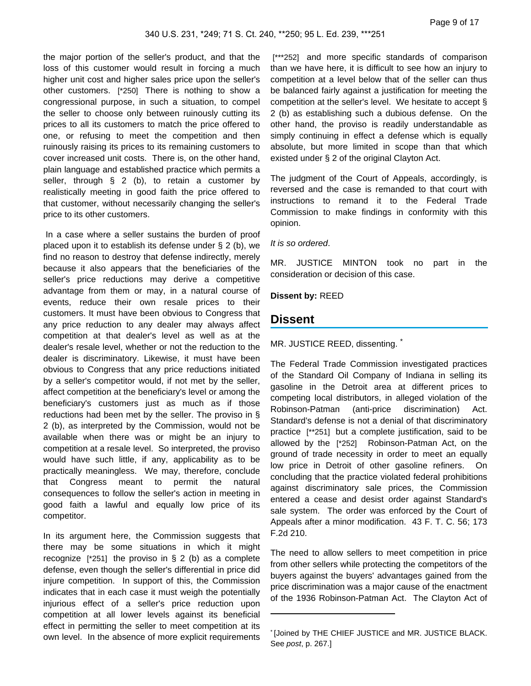the major portion of the seller's product, and that the loss of this customer would result in forcing a much higher unit cost and higher sales price upon the seller's other customers. [\*250] There is nothing to show a congressional purpose, in such a situation, to compel the seller to choose only between ruinously cutting its prices to all its customers to match the price offered to one, or refusing to meet the competition and then ruinously raising its prices to its remaining customers to cover increased unit costs. There is, on the other hand, plain language and established practice which permits a seller, through § 2 (b), to retain a customer by realistically meeting in good faith the price offered to that customer, without necessarily changing the seller's price to its other customers.

In a case where a seller sustains the burden of proof placed upon it to establish its defense under § 2 (b), we find no reason to destroy that defense indirectly, merely because it also appears that the beneficiaries of the seller's price reductions may derive a competitive advantage from them or may, in a natural course of events, reduce their own resale prices to their customers. It must have been obvious to Congress that any price reduction to any dealer may always affect competition at that dealer's level as well as at the dealer's resale level, whether or not the reduction to the dealer is discriminatory. Likewise, it must have been obvious to Congress that any price reductions initiated by a seller's competitor would, if not met by the seller, affect competition at the beneficiary's level or among the beneficiary's customers just as much as if those reductions had been met by the seller. The proviso in § 2 (b), as interpreted by the Commission, would not be available when there was or might be an injury to competition at a resale level. So interpreted, the proviso would have such little, if any, applicability as to be practically meaningless. We may, therefore, conclude that Congress meant to permit the natural consequences to follow the seller's action in meeting in good faith a lawful and equally low price of its competitor.

In its argument here, the Commission suggests that there may be some situations in which it might recognize  $[^*251]$  the proviso in § 2 (b) as a complete defense, even though the seller's differential in price did injure competition. In support of this, the Commission indicates that in each case it must weigh the potentially injurious effect of a seller's price reduction upon competition at all lower levels against its beneficial effect in permitting the seller to meet competition at its own level. In the absence of more explicit requirements

[\*\*\*252] and more specific standards of comparison than we have here, it is difficult to see how an injury to competition at a level below that of the seller can thus be balanced fairly against a justification for meeting the competition at the seller's level. We hesitate to accept § 2 (b) as establishing such a dubious defense. On the other hand, the proviso is readily understandable as simply continuing in effect a defense which is equally absolute, but more limited in scope than that which existed under § 2 of the original Clayton Act.

The judgment of the Court of Appeals, accordingly, is reversed and the case is remanded to that court with instructions to remand it to the Federal Trade Commission to make findings in conformity with this opinion.

## It is so ordered.

MR. JUSTICE MINTON took no part in the consideration or decision of this case.

### **Dissent by:** REED

# **Dissent**

MR. JUSTICE REED, dissenting.  $\check{\phantom{\phi}}$ 

The Federal Trade Commission investigated practices of the Standard Oil Company of Indiana in selling its gasoline in the Detroit area at different prices to competing local distributors, in alleged violation of the Robinson-Patman (anti-price discrimination) Act. Standard's defense is not a denial of that discriminatory practice [\*\*251] but a complete justification, said to be allowed by the [\*252] Robinson-Patman Act, on the ground of trade necessity in order to meet an equally low price in Detroit of other gasoline refiners. On concluding that the practice violated federal prohibitions against discriminatory sale prices, the Commission entered a cease and desist order against Standard's sale system. The order was enforced by the Court of Appeals after a minor modification. 43 F. T. C. 56; 173 F.2d 210.

The need to allow sellers to meet competition in price from other sellers while protecting the competitors of the buyers against the buyers' advantages gained from the price discrimination was a major cause of the enactment of the 1936 Robinson-Patman Act. The Clayton Act of

<sup>\*</sup> [Joined by THE CHIEF JUSTICE and MR. JUSTICE BLACK. See post, p. 267.]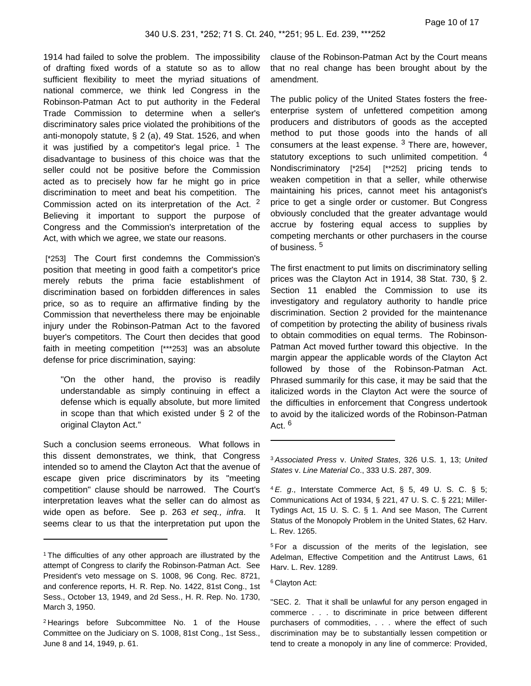1914 had failed to solve the problem. The impossibility of drafting fixed words of a statute so as to allow sufficient flexibility to meet the myriad situations of national commerce, we think led Congress in the Robinson-Patman Act to put authority in the Federal Trade Commission to determine when a seller's discriminatory sales price violated the prohibitions of the anti-monopoly statute, § 2 (a), 49 Stat. 1526, and when it was justified by a competitor's legal price.  $1$  The disadvantage to business of this choice was that the seller could not be positive before the Commission acted as to precisely how far he might go in price discrimination to meet and beat his competition. The Commission acted on its interpretation of the Act. <sup>2</sup> Believing it important to support the purpose of Congress and the Commission's interpretation of the Act, with which we agree, we state our reasons.

[\*253] The Court first condemns the Commission's position that meeting in good faith a competitor's price merely rebuts the prima facie establishment of discrimination based on forbidden differences in sales price, so as to require an affirmative finding by the Commission that nevertheless there may be enjoinable injury under the Robinson-Patman Act to the favored buyer's competitors. The Court then decides that good faith in meeting competition [\*\*\*253] was an absolute defense for price discrimination, saying:

"On the other hand, the proviso is readily understandable as simply continuing in effect a defense which is equally absolute, but more limited in scope than that which existed under  $\S$  2 of the original Clayton Act."

Such a conclusion seems erroneous. What follows in this dissent demonstrates, we think, that Congress intended so to amend the Clayton Act that the avenue of escape given price discriminators by its "meeting competition" clause should be narrowed. The Court's interpretation leaves what the seller can do almost as wide open as before. See p. 263 et seq., infra. It seems clear to us that the interpretation put upon the

clause of the Robinson-Patman Act by the Court means that no real change has been brought about by the amendment.

The public policy of the United States fosters the freeenterprise system of unfettered competition among producers and distributors of goods as the accepted method to put those goods into the hands of all consumers at the least expense.  $3$  There are, however, statutory exceptions to such unlimited competition. <sup>4</sup> Nondiscriminatory [\*254] [\*\*252] pricing tends to weaken competition in that a seller, while otherwise maintaining his prices, cannot meet his antagonist's price to get a single order or customer. But Congress obviously concluded that the greater advantage would accrue by fostering equal access to supplies by competing merchants or other purchasers in the course of business.<sup>5</sup>

The first enactment to put limits on discriminatory selling prices was the Clayton Act in 1914, 38 Stat. 730, § 2. Section 11 enabled the Commission to use its investigatory and regulatory authority to handle price discrimination. Section 2 provided for the maintenance of competition by protecting the ability of business rivals to obtain commodities on equal terms. The Robinson-Patman Act moved further toward this objective. In the margin appear the applicable words of the Clayton Act followed by those of the Robinson-Patman Act. Phrased summarily for this case, it may be said that the italicized words in the Clayton Act were the source of the difficulties in enforcement that Congress undertook to avoid by the italicized words of the Robinson-Patman Act.  $6$ 

<sup>5</sup> For a discussion of the merits of the legislation, see Adelman, Effective Competition and the Antitrust Laws, 61 Harv. L. Rev. 1289.

<sup>&</sup>lt;sup>1</sup> The difficulties of any other approach are illustrated by the attempt of Congress to clarify the Robinson-Patman Act. See President's veto message on S. 1008, 96 Cong. Rec. 8721, and conference reports, H. R. Rep. No. 1422, 81st Cong., 1st Sess., October 13, 1949, and 2d Sess., H. R. Rep. No. 1730, March 3, 1950.

<sup>2</sup> Hearings before Subcommittee No. 1 of the House Committee on the Judiciary on S. 1008, 81st Cong., 1st Sess., June 8 and 14, 1949, p. 61.

<sup>3</sup> Associated Press v. United States, 326 U.S. 1, 13; United States v. Line Material Co., 333 U.S. 287, 309.

<sup>4</sup> E. g., Interstate Commerce Act, § 5, 49 U. S. C. § 5; Communications Act of 1934, § 221, 47 U. S. C. § 221; Miller-Tydings Act, 15 U. S. C. § 1. And see Mason, The Current Status of the Monopoly Problem in the United States, 62 Harv. L. Rev. 1265.

<sup>6</sup> Clayton Act:

<sup>&</sup>quot;SEC. 2. That it shall be unlawful for any person engaged in commerce . . . to discriminate in price between different purchasers of commodities, . . . where the effect of such discrimination may be to substantially lessen competition or tend to create a monopoly in any line of commerce: Provided,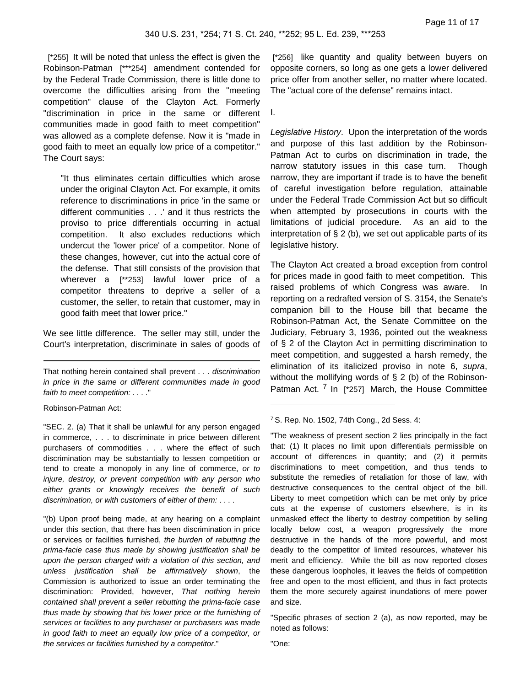[\*255] It will be noted that unless the effect is given the Robinson-Patman [\*\*\*254] amendment contended for by the Federal Trade Commission, there is little done to overcome the difficulties arising from the "meeting competition" clause of the Clayton Act. Formerly "discrimination in price in the same or different communities made in good faith to meet competition" was allowed as a complete defense. Now it is "made in good faith to meet an equally low price of a competitor." The Court says:

"It thus eliminates certain difficulties which arose under the original Clayton Act. For example, it omits reference to discriminations in price 'in the same or different communities . . .' and it thus restricts the proviso to price differentials occurring in actual competition. It also excludes reductions which undercut the 'lower price' of a competitor. None of these changes, however, cut into the actual core of the defense. That still consists of the provision that wherever a [\*\*253] lawful lower price of a competitor threatens to deprive a seller of a customer, the seller, to retain that customer, may in good faith meet that lower price."

We see little difference. The seller may still, under the Court's interpretation, discriminate in sales of goods of

That nothing herein contained shall prevent . . . discrimination in price in the same or different communities made in good faith to meet competition: . . . ."

Robinson-Patman Act:

"SEC. 2. (a) That it shall be unlawful for any person engaged in commerce, . . . to discriminate in price between different purchasers of commodities . . . where the effect of such discrimination may be substantially to lessen competition or tend to create a monopoly in any line of commerce, or to injure, destroy, or prevent competition with any person who either grants or knowingly receives the benefit of such discrimination, or with customers of either of them: . . . .

"(b) Upon proof being made, at any hearing on a complaint under this section, that there has been discrimination in price or services or facilities furnished, the burden of rebutting the prima-facie case thus made by showing justification shall be upon the person charged with a violation of this section, and unless justification shall be affirmatively shown, the Commission is authorized to issue an order terminating the discrimination: Provided, however, That nothing herein contained shall prevent a seller rebutting the prima-facie case thus made by showing that his lower price or the furnishing of services or facilities to any purchaser or purchasers was made in good faith to meet an equally low price of a competitor, or the services or facilities furnished by a competitor."

[\*256] like quantity and quality between buyers on opposite corners, so long as one gets a lower delivered price offer from another seller, no matter where located. The "actual core of the defense" remains intact.

I.

Legislative History. Upon the interpretation of the words and purpose of this last addition by the Robinson-Patman Act to curbs on discrimination in trade, the narrow statutory issues in this case turn. Though narrow, they are important if trade is to have the benefit of careful investigation before regulation, attainable under the Federal Trade Commission Act but so difficult when attempted by prosecutions in courts with the limitations of judicial procedure. As an aid to the interpretation of § 2 (b), we set out applicable parts of its legislative history.

The Clayton Act created a broad exception from control for prices made in good faith to meet competition. This raised problems of which Congress was aware. In reporting on a redrafted version of S. 3154, the Senate's companion bill to the House bill that became the Robinson-Patman Act, the Senate Committee on the Judiciary, February 3, 1936, pointed out the weakness of § 2 of the Clayton Act in permitting discrimination to meet competition, and suggested a harsh remedy, the elimination of its italicized proviso in note 6, supra, without the mollifying words of § 2 (b) of the Robinson-Patman Act. <sup>7</sup> In [\*257] March, the House Committee

<sup>7</sup> S. Rep. No. 1502, 74th Cong., 2d Sess. 4:

"The weakness of present section 2 lies principally in the fact that: (1) It places no limit upon differentials permissible on account of differences in quantity; and (2) it permits discriminations to meet competition, and thus tends to substitute the remedies of retaliation for those of law, with destructive consequences to the central object of the bill. Liberty to meet competition which can be met only by price cuts at the expense of customers elsewhere, is in its unmasked effect the liberty to destroy competition by selling locally below cost, a weapon progressively the more destructive in the hands of the more powerful, and most deadly to the competitor of limited resources, whatever his merit and efficiency. While the bill as now reported closes these dangerous loopholes, it leaves the fields of competition free and open to the most efficient, and thus in fact protects them the more securely against inundations of mere power and size.

"Specific phrases of section 2 (a), as now reported, may be noted as follows:

"One: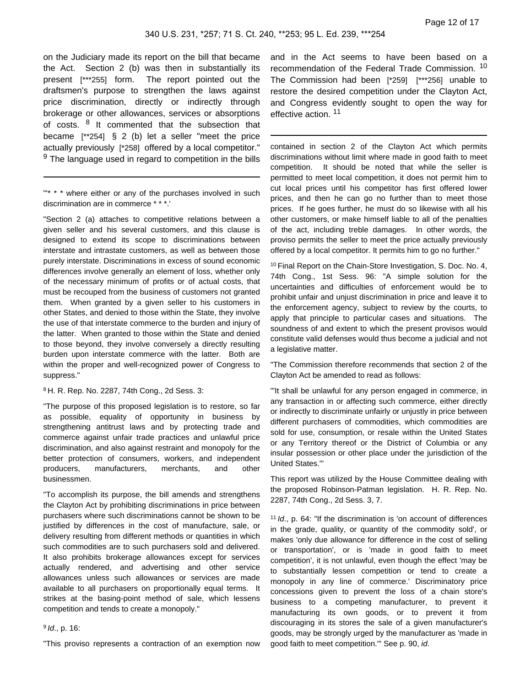on the Judiciary made its report on the bill that became the Act. Section 2 (b) was then in substantially its present [\*\*\*255] form. The report pointed out the draftsmen's purpose to strengthen the laws against price discrimination, directly or indirectly through brokerage or other allowances, services or absorptions of costs. <sup>8</sup> It commented that the subsection that became [\*\*254] § 2 (b) let a seller "meet the price actually previously [\*258] offered by a local competitor." <sup>9</sup> The language used in regard to competition in the bills

"\* \* \* where either or any of the purchases involved in such discrimination are in commerce \* \* \*.'

"Section 2 (a) attaches to competitive relations between a given seller and his several customers, and this clause is designed to extend its scope to discriminations between interstate and intrastate customers, as well as between those purely interstate. Discriminations in excess of sound economic differences involve generally an element of loss, whether only of the necessary minimum of profits or of actual costs, that must be recouped from the business of customers not granted them. When granted by a given seller to his customers in other States, and denied to those within the State, they involve the use of that interstate commerce to the burden and injury of the latter. When granted to those within the State and denied to those beyond, they involve conversely a directly resulting burden upon interstate commerce with the latter. Both are within the proper and well-recognized power of Congress to suppress."

#### <sup>8</sup> H. R. Rep. No. 2287, 74th Cong., 2d Sess. 3:

"The purpose of this proposed legislation is to restore, so far as possible, equality of opportunity in business by strengthening antitrust laws and by protecting trade and commerce against unfair trade practices and unlawful price discrimination, and also against restraint and monopoly for the better protection of consumers, workers, and independent producers, manufacturers, merchants, and other businessmen.

"To accomplish its purpose, the bill amends and strengthens the Clayton Act by prohibiting discriminations in price between purchasers where such discriminations cannot be shown to be justified by differences in the cost of manufacture, sale, or delivery resulting from different methods or quantities in which such commodities are to such purchasers sold and delivered. It also prohibits brokerage allowances except for services actually rendered, and advertising and other service allowances unless such allowances or services are made available to all purchasers on proportionally equal terms. It strikes at the basing-point method of sale, which lessens competition and tends to create a monopoly."

#### <sup>9</sup> *ld.*, p. 16:

"This proviso represents a contraction of an exemption now

and in the Act seems to have been based on a recommendation of the Federal Trade Commission.<sup>10</sup> The Commission had been [\*259] [\*\*\*256] unable to restore the desired competition under the Clayton Act, and Congress evidently sought to open the way for effective action.<sup>11</sup>

contained in section 2 of the Clayton Act which permits discriminations without limit where made in good faith to meet competition. It should be noted that while the seller is permitted to meet local competition, it does not permit him to cut local prices until his competitor has first offered lower prices, and then he can go no further than to meet those prices. If he goes further, he must do so likewise with all his other customers, or make himself liable to all of the penalties of the act, including treble damages. In other words, the proviso permits the seller to meet the price actually previously offered by a local competitor. It permits him to go no further."

<sup>10</sup> Final Report on the Chain-Store Investigation, S. Doc. No. 4, 74th Cong., 1st Sess. 96: "A simple solution for the uncertainties and difficulties of enforcement would be to prohibit unfair and unjust discrimination in price and leave it to the enforcement agency, subject to review by the courts, to apply that principle to particular cases and situations. The soundness of and extent to which the present provisos would constitute valid defenses would thus become a judicial and not a legislative matter.

"The Commission therefore recommends that section 2 of the Clayton Act be amended to read as follows:

"'It shall be unlawful for any person engaged in commerce, in any transaction in or affecting such commerce, either directly or indirectly to discriminate unfairly or unjustly in price between different purchasers of commodities, which commodities are sold for use, consumption, or resale within the United States or any Territory thereof or the District of Columbia or any insular possession or other place under the jurisdiction of the United States.'"

This report was utilized by the House Committee dealing with the proposed Robinson-Patman legislation. H. R. Rep. No. 2287, 74th Cong., 2d Sess. 3, 7.

 $11$  Id., p. 64: "If the discrimination is 'on account of differences in the grade, quality, or quantity of the commodity sold', or makes 'only due allowance for difference in the cost of selling or transportation', or is 'made in good faith to meet competition', it is not unlawful, even though the effect 'may be to substantially lessen competition or tend to create a monopoly in any line of commerce.' Discriminatory price concessions given to prevent the loss of a chain store's business to a competing manufacturer, to prevent it manufacturing its own goods, or to prevent it from discouraging in its stores the sale of a given manufacturer's goods, may be strongly urged by the manufacturer as 'made in good faith to meet competition.'" See p. 90, id.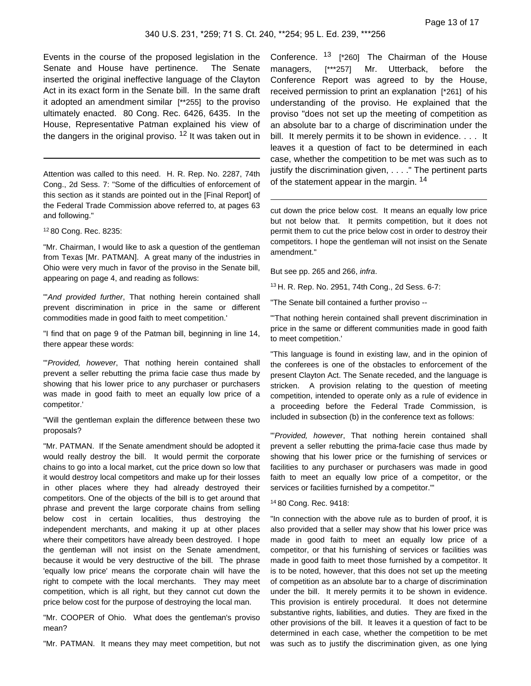Events in the course of the proposed legislation in the Senate and House have pertinence. The Senate inserted the original ineffective language of the Clayton Act in its exact form in the Senate bill. In the same draft it adopted an amendment similar [\*\*255] to the proviso ultimately enacted. 80 Cong. Rec. 6426, 6435. In the House, Representative Patman explained his view of the dangers in the original proviso.  $12$  It was taken out in

Attention was called to this need. H. R. Rep. No. 2287, 74th Cong., 2d Sess. 7: "Some of the difficulties of enforcement of this section as it stands are pointed out in the [Final Report] of the Federal Trade Commission above referred to, at pages 63 and following."

<sup>12</sup> 80 Cong. Rec. 8235:

"Mr. Chairman, I would like to ask a question of the gentleman from Texas [Mr. PATMAN]. A great many of the industries in Ohio were very much in favor of the proviso in the Senate bill, appearing on page 4, and reading as follows:

"'And provided further, That nothing herein contained shall prevent discrimination in price in the same or different commodities made in good faith to meet competition.'

"I find that on page 9 of the Patman bill, beginning in line 14, there appear these words:

"'Provided, however, That nothing herein contained shall prevent a seller rebutting the prima facie case thus made by showing that his lower price to any purchaser or purchasers was made in good faith to meet an equally low price of a competitor.'

"Will the gentleman explain the difference between these two proposals?

"Mr. PATMAN. If the Senate amendment should be adopted it would really destroy the bill. It would permit the corporate chains to go into a local market, cut the price down so low that it would destroy local competitors and make up for their losses in other places where they had already destroyed their competitors. One of the objects of the bill is to get around that phrase and prevent the large corporate chains from selling below cost in certain localities, thus destroying the independent merchants, and making it up at other places where their competitors have already been destroyed. I hope the gentleman will not insist on the Senate amendment, because it would be very destructive of the bill. The phrase 'equally low price' means the corporate chain will have the right to compete with the local merchants. They may meet competition, which is all right, but they cannot cut down the price below cost for the purpose of destroying the local man.

"Mr. COOPER of Ohio. What does the gentleman's proviso mean?

"Mr. PATMAN. It means they may meet competition, but not

Conference. <sup>13</sup> [\*260] The Chairman of the House managers, [\*\*\*257] Mr. Utterback, before the Conference Report was agreed to by the House, received permission to print an explanation [\*261] of his understanding of the proviso. He explained that the proviso "does not set up the meeting of competition as an absolute bar to a charge of discrimination under the bill. It merely permits it to be shown in evidence.... It leaves it a question of fact to be determined in each case, whether the competition to be met was such as to justify the discrimination given, . . . ." The pertinent parts of the statement appear in the margin. <sup>14</sup>

cut down the price below cost. It means an equally low price but not below that. It permits competition, but it does not permit them to cut the price below cost in order to destroy their competitors. I hope the gentleman will not insist on the Senate amendment."

But see pp. 265 and 266, infra.

<sup>13</sup> H. R. Rep. No. 2951, 74th Cong., 2d Sess. 6-7:

"The Senate bill contained a further proviso --

"'That nothing herein contained shall prevent discrimination in price in the same or different communities made in good faith to meet competition.'

"This language is found in existing law, and in the opinion of the conferees is one of the obstacles to enforcement of the present Clayton Act. The Senate receded, and the language is stricken. A provision relating to the question of meeting competition, intended to operate only as a rule of evidence in a proceeding before the Federal Trade Commission, is included in subsection (b) in the conference text as follows:

"'Provided, however, That nothing herein contained shall prevent a seller rebutting the prima-facie case thus made by showing that his lower price or the furnishing of services or facilities to any purchaser or purchasers was made in good faith to meet an equally low price of a competitor, or the services or facilities furnished by a competitor.'"

<sup>14</sup> 80 Cong. Rec. 9418:

"In connection with the above rule as to burden of proof, it is also provided that a seller may show that his lower price was made in good faith to meet an equally low price of a competitor, or that his furnishing of services or facilities was made in good faith to meet those furnished by a competitor. It is to be noted, however, that this does not set up the meeting of competition as an absolute bar to a charge of discrimination under the bill. It merely permits it to be shown in evidence. This provision is entirely procedural. It does not determine substantive rights, liabilities, and duties. They are fixed in the other provisions of the bill. It leaves it a question of fact to be determined in each case, whether the competition to be met was such as to justify the discrimination given, as one lying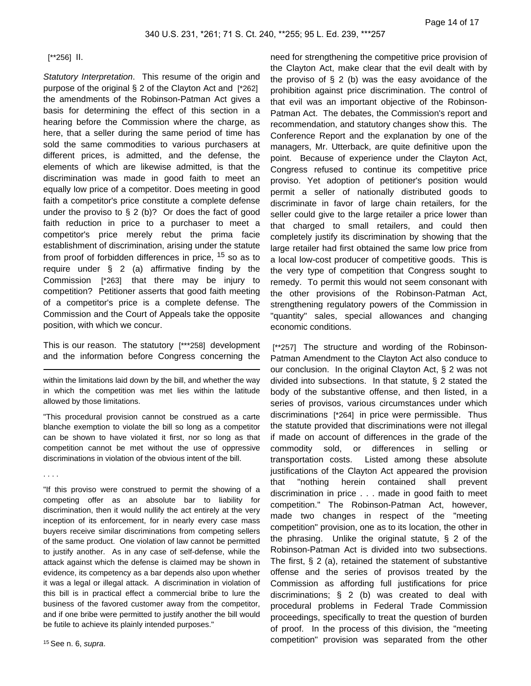### [\*\*256] II.

Statutory Interpretation. This resume of the origin and purpose of the original § 2 of the Clayton Act and [\*262] the amendments of the Robinson-Patman Act gives a basis for determining the effect of this section in a hearing before the Commission where the charge, as here, that a seller during the same period of time has sold the same commodities to various purchasers at different prices, is admitted, and the defense, the elements of which are likewise admitted, is that the discrimination was made in good faith to meet an equally low price of a competitor. Does meeting in good faith a competitor's price constitute a complete defense under the proviso to  $\S 2$  (b)? Or does the fact of good faith reduction in price to a purchaser to meet a competitor's price merely rebut the prima facie establishment of discrimination, arising under the statute from proof of forbidden differences in price, <sup>15</sup> so as to require under § 2 (a) affirmative finding by the Commission [\*263] that there may be injury to competition? Petitioner asserts that good faith meeting of a competitor's price is a complete defense. The Commission and the Court of Appeals take the opposite position, with which we concur.

This is our reason. The statutory [\*\*\*258] development and the information before Congress concerning the

within the limitations laid down by the bill, and whether the way in which the competition was met lies within the latitude allowed by those limitations.

"This procedural provision cannot be construed as a carte blanche exemption to violate the bill so long as a competitor can be shown to have violated it first, nor so long as that competition cannot be met without the use of oppressive discriminations in violation of the obvious intent of the bill.

"If this proviso were construed to permit the showing of a competing offer as an absolute bar to liability for discrimination, then it would nullify the act entirely at the very inception of its enforcement, for in nearly every case mass buyers receive similar discriminations from competing sellers of the same product. One violation of law cannot be permitted to justify another. As in any case of self-defense, while the attack against which the defense is claimed may be shown in evidence, its competency as a bar depends also upon whether it was a legal or illegal attack. A discrimination in violation of this bill is in practical effect a commercial bribe to lure the business of the favored customer away from the competitor, and if one bribe were permitted to justify another the bill would be futile to achieve its plainly intended purposes."

. . . .

need for strengthening the competitive price provision of the Clayton Act, make clear that the evil dealt with by the proviso of  $\S 2$  (b) was the easy avoidance of the prohibition against price discrimination. The control of that evil was an important objective of the Robinson-Patman Act. The debates, the Commission's report and recommendation, and statutory changes show this. The Conference Report and the explanation by one of the managers, Mr. Utterback, are quite definitive upon the point. Because of experience under the Clayton Act, Congress refused to continue its competitive price proviso. Yet adoption of petitioner's position would permit a seller of nationally distributed goods to discriminate in favor of large chain retailers, for the seller could give to the large retailer a price lower than that charged to small retailers, and could then completely justify its discrimination by showing that the large retailer had first obtained the same low price from a local low-cost producer of competitive goods. This is the very type of competition that Congress sought to remedy. To permit this would not seem consonant with the other provisions of the Robinson-Patman Act, strengthening regulatory powers of the Commission in "quantity" sales, special allowances and changing economic conditions.

[\*\*257] The structure and wording of the Robinson-Patman Amendment to the Clayton Act also conduce to our conclusion. In the original Clayton Act, § 2 was not divided into subsections. In that statute, § 2 stated the body of the substantive offense, and then listed, in a series of provisos, various circumstances under which discriminations [\*264] in price were permissible. Thus the statute provided that discriminations were not illegal if made on account of differences in the grade of the commodity sold, or differences in selling or transportation costs. Listed among these absolute justifications of the Clayton Act appeared the provision that "nothing herein contained shall prevent discrimination in price . . . made in good faith to meet competition." The Robinson-Patman Act, however, made two changes in respect of the "meeting competition" provision, one as to its location, the other in the phrasing. Unlike the original statute, § 2 of the Robinson-Patman Act is divided into two subsections. The first, § 2 (a), retained the statement of substantive offense and the series of provisos treated by the Commission as affording full justifications for price discriminations; § 2 (b) was created to deal with procedural problems in Federal Trade Commission proceedings, specifically to treat the question of burden of proof. In the process of this division, the "meeting competition" provision was separated from the other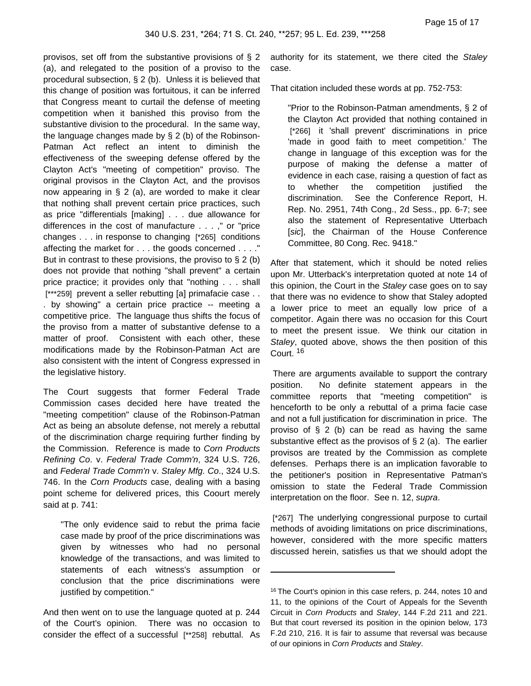provisos, set off from the substantive provisions of § 2 (a), and relegated to the position of a proviso to the procedural subsection, § 2 (b). Unless it is believed that this change of position was fortuitous, it can be inferred that Congress meant to curtail the defense of meeting competition when it banished this proviso from the substantive division to the procedural. In the same way, the language changes made by § 2 (b) of the Robinson-Patman Act reflect an intent to diminish the effectiveness of the sweeping defense offered by the Clayton Act's "meeting of competition" proviso. The original provisos in the Clayton Act, and the provisos now appearing in § 2 (a), are worded to make it clear that nothing shall prevent certain price practices, such as price "differentials [making] . . . due allowance for differences in the cost of manufacture . . . ," or "price changes . . . in response to changing [\*265] conditions affecting the market for . . . the goods concerned . . . ." But in contrast to these provisions, the proviso to  $\S 2$  (b) does not provide that nothing "shall prevent" a certain price practice; it provides only that "nothing . . . shall [\*\*\*259] prevent a seller rebutting [a] primafacie case . . . by showing" a certain price practice -- meeting a competitive price. The language thus shifts the focus of the proviso from a matter of substantive defense to a matter of proof. Consistent with each other, these modifications made by the Robinson-Patman Act are also consistent with the intent of Congress expressed in the legislative history.

The Court suggests that former Federal Trade Commission cases decided here have treated the "meeting competition" clause of the Robinson-Patman Act as being an absolute defense, not merely a rebuttal of the discrimination charge requiring further finding by the Commission. Reference is made to Corn Products Refining Co. v. Federal Trade Comm'n, 324 U.S. 726, and Federal Trade Comm'n v. Staley Mfg. Co., 324 U.S. 746. In the Corn Products case, dealing with a basing point scheme for delivered prices, this Coourt merely said at p. 741:

"The only evidence said to rebut the prima facie case made by proof of the price discriminations was given by witnesses who had no personal knowledge of the transactions, and was limited to statements of each witness's assumption or conclusion that the price discriminations were justified by competition."

And then went on to use the language quoted at p. 244 of the Court's opinion. There was no occasion to consider the effect of a successful [\*\*258] rebuttal. As authority for its statement, we there cited the Staley case.

That citation included these words at pp. 752-753:

"Prior to the Robinson-Patman amendments, § 2 of the Clayton Act provided that nothing contained in [\*266] it 'shall prevent' discriminations in price 'made in good faith to meet competition.' The change in language of this exception was for the purpose of making the defense a matter of evidence in each case, raising a question of fact as to whether the competition justified the discrimination. See the Conference Report, H. Rep. No. 2951, 74th Cong., 2d Sess., pp. 6-7; see also the statement of Representative Utterbach [sic], the Chairman of the House Conference Committee, 80 Cong. Rec. 9418."

After that statement, which it should be noted relies upon Mr. Utterback's interpretation quoted at note 14 of this opinion, the Court in the Staley case goes on to say that there was no evidence to show that Staley adopted a lower price to meet an equally low price of a competitor. Again there was no occasion for this Court to meet the present issue. We think our citation in Staley, quoted above, shows the then position of this Court. <sup>16</sup>

There are arguments available to support the contrary position. No definite statement appears in the committee reports that "meeting competition" is henceforth to be only a rebuttal of a prima facie case and not a full justification for discrimination in price. The proviso of  $\S$  2 (b) can be read as having the same substantive effect as the provisos of § 2 (a). The earlier provisos are treated by the Commission as complete defenses. Perhaps there is an implication favorable to the petitioner's position in Representative Patman's omission to state the Federal Trade Commission interpretation on the floor. See n. 12, supra.

[\*267] The underlying congressional purpose to curtail methods of avoiding limitations on price discriminations, however, considered with the more specific matters discussed herein, satisfies us that we should adopt the

<sup>16</sup> The Court's opinion in this case refers, p. 244, notes 10 and 11, to the opinions of the Court of Appeals for the Seventh Circuit in Corn Products and Staley, 144 F.2d 211 and 221. But that court reversed its position in the opinion below, 173 F.2d 210, 216. It is fair to assume that reversal was because of our opinions in Corn Products and Staley.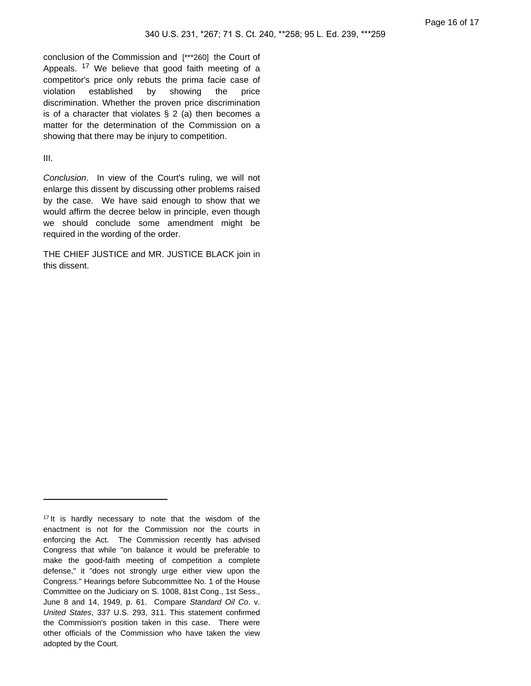Page 16 of 17

conclusion of the Commission and [\*\*\*260] the Court of Appeals. <sup>17</sup> We believe that good faith meeting of a competitor's price only rebuts the prima facie case of violation established by showing the price discrimination. Whether the proven price discrimination is of a character that violates  $\S 2$  (a) then becomes a matter for the determination of the Commission on a showing that there may be injury to competition.

# III.

Conclusion. In view of the Court's ruling, we will not enlarge this dissent by discussing other problems raised by the case. We have said enough to show that we would affirm the decree below in principle, even though we should conclude some amendment might be required in the wording of the order.

THE CHIEF JUSTICE and MR. JUSTICE BLACK join in this dissent.

<sup>&</sup>lt;sup>17</sup> It is hardly necessary to note that the wisdom of the enactment is not for the Commission nor the courts in enforcing the Act. The Commission recently has advised Congress that while "on balance it would be preferable to make the good-faith meeting of competition a complete defense," it "does not strongly urge either view upon the Congress." Hearings before Subcommittee No. 1 of the House Committee on the Judiciary on S. 1008, 81st Cong., 1st Sess., June 8 and 14, 1949, p. 61. Compare Standard Oil Co. v. United States, 337 U.S. 293, 311. This statement confirmed the Commission's position taken in this case. There were other officials of the Commission who have taken the view adopted by the Court.